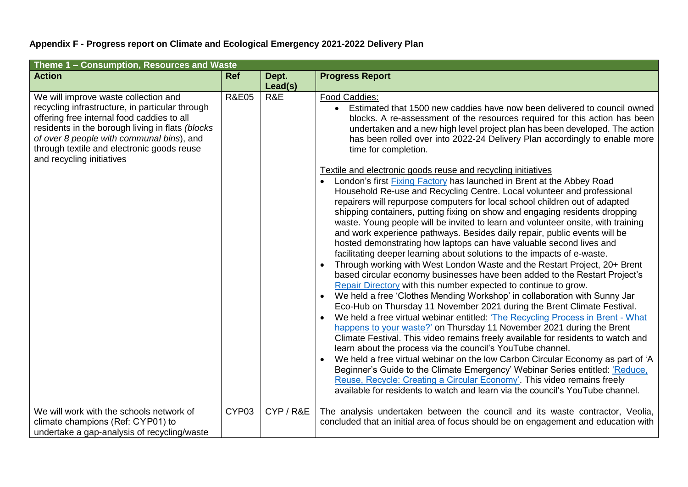## **Appendix F - Progress report on Climate and Ecological Emergency 2021-2022 Delivery Plan**

| Theme 1 - Consumption, Resources and Waste                                                                                                                                                                                                                                                                        |                  |                |                                                                                                                                                                                                                                                                                                                                                                                                                                                                                                                                                                                                                                                                                                                                                                                                                                                                                                                                                                                                                                                                                                                                                                                                                                                                                                                                                                                                                                                                                                                                                                                                                                                                                                                |  |  |  |
|-------------------------------------------------------------------------------------------------------------------------------------------------------------------------------------------------------------------------------------------------------------------------------------------------------------------|------------------|----------------|----------------------------------------------------------------------------------------------------------------------------------------------------------------------------------------------------------------------------------------------------------------------------------------------------------------------------------------------------------------------------------------------------------------------------------------------------------------------------------------------------------------------------------------------------------------------------------------------------------------------------------------------------------------------------------------------------------------------------------------------------------------------------------------------------------------------------------------------------------------------------------------------------------------------------------------------------------------------------------------------------------------------------------------------------------------------------------------------------------------------------------------------------------------------------------------------------------------------------------------------------------------------------------------------------------------------------------------------------------------------------------------------------------------------------------------------------------------------------------------------------------------------------------------------------------------------------------------------------------------------------------------------------------------------------------------------------------------|--|--|--|
| <b>Action</b>                                                                                                                                                                                                                                                                                                     | <b>Ref</b>       | Dept.          | <b>Progress Report</b>                                                                                                                                                                                                                                                                                                                                                                                                                                                                                                                                                                                                                                                                                                                                                                                                                                                                                                                                                                                                                                                                                                                                                                                                                                                                                                                                                                                                                                                                                                                                                                                                                                                                                         |  |  |  |
| We will improve waste collection and<br>recycling infrastructure, in particular through<br>offering free internal food caddies to all<br>residents in the borough living in flats (blocks<br>of over 8 people with communal bins), and<br>through textile and electronic goods reuse<br>and recycling initiatives | <b>R&amp;E05</b> | Lead(s)<br>R&E | Food Caddies:<br>Estimated that 1500 new caddies have now been delivered to council owned<br>blocks. A re-assessment of the resources required for this action has been<br>undertaken and a new high level project plan has been developed. The action<br>has been rolled over into 2022-24 Delivery Plan accordingly to enable more<br>time for completion.<br>Textile and electronic goods reuse and recycling initiatives<br>London's first <b>Fixing Factory</b> has launched in Brent at the Abbey Road<br>Household Re-use and Recycling Centre. Local volunteer and professional<br>repairers will repurpose computers for local school children out of adapted<br>shipping containers, putting fixing on show and engaging residents dropping<br>waste. Young people will be invited to learn and volunteer onsite, with training<br>and work experience pathways. Besides daily repair, public events will be<br>hosted demonstrating how laptops can have valuable second lives and<br>facilitating deeper learning about solutions to the impacts of e-waste.<br>Through working with West London Waste and the Restart Project, 20+ Brent<br>based circular economy businesses have been added to the Restart Project's<br>Repair Directory with this number expected to continue to grow.<br>We held a free 'Clothes Mending Workshop' in collaboration with Sunny Jar<br>Eco-Hub on Thursday 11 November 2021 during the Brent Climate Festival.<br>We held a free virtual webinar entitled: 'The Recycling Process in Brent - What<br>happens to your waste?' on Thursday 11 November 2021 during the Brent<br>Climate Festival. This video remains freely available for residents to watch and |  |  |  |
|                                                                                                                                                                                                                                                                                                                   |                  |                | learn about the process via the council's YouTube channel.<br>We held a free virtual webinar on the low Carbon Circular Economy as part of 'A<br>Beginner's Guide to the Climate Emergency' Webinar Series entitled: 'Reduce,<br>Reuse, Recycle: Creating a Circular Economy'. This video remains freely<br>available for residents to watch and learn via the council's YouTube channel.                                                                                                                                                                                                                                                                                                                                                                                                                                                                                                                                                                                                                                                                                                                                                                                                                                                                                                                                                                                                                                                                                                                                                                                                                                                                                                                      |  |  |  |
| We will work with the schools network of<br>climate champions (Ref: CYP01) to<br>undertake a gap-analysis of recycling/waste                                                                                                                                                                                      | CYP03            | CYP/R&E        | The analysis undertaken between the council and its waste contractor, Veolia,<br>concluded that an initial area of focus should be on engagement and education with                                                                                                                                                                                                                                                                                                                                                                                                                                                                                                                                                                                                                                                                                                                                                                                                                                                                                                                                                                                                                                                                                                                                                                                                                                                                                                                                                                                                                                                                                                                                            |  |  |  |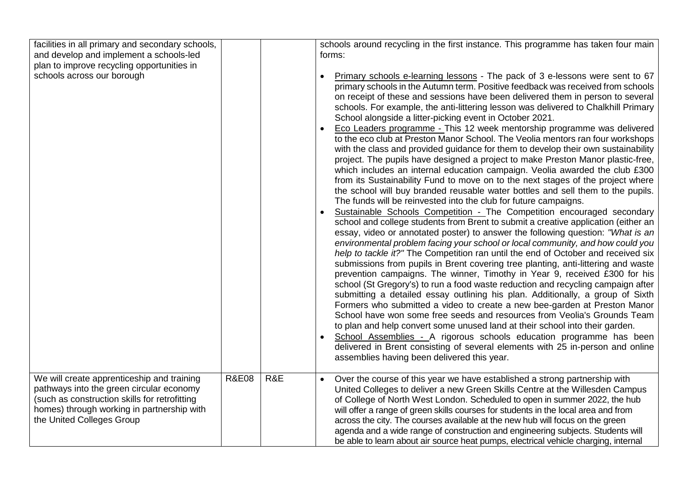| facilities in all primary and secondary schools,<br>and develop and implement a schools-led<br>plan to improve recycling opportunities in<br>schools across our borough                                            |                  |     | schools around recycling in the first instance. This programme has taken four main<br>forms:<br>Primary schools e-learning lessons - The pack of 3 e-lessons were sent to 67<br>primary schools in the Autumn term. Positive feedback was received from schools<br>on receipt of these and sessions have been delivered them in person to several<br>schools. For example, the anti-littering lesson was delivered to Chalkhill Primary<br>School alongside a litter-picking event in October 2021.<br>Eco Leaders programme - This 12 week mentorship programme was delivered<br>to the eco club at Preston Manor School. The Veolia mentors ran four workshops<br>with the class and provided guidance for them to develop their own sustainability<br>project. The pupils have designed a project to make Preston Manor plastic-free,<br>which includes an internal education campaign. Veolia awarded the club £300<br>from its Sustainability Fund to move on to the next stages of the project where<br>the school will buy branded reusable water bottles and sell them to the pupils.<br>The funds will be reinvested into the club for future campaigns.<br>Sustainable Schools Competition - The Competition encouraged secondary<br>school and college students from Brent to submit a creative application (either an<br>essay, video or annotated poster) to answer the following question: "What is an<br>environmental problem facing your school or local community, and how could you<br>help to tackle it?" The Competition ran until the end of October and received six<br>submissions from pupils in Brent covering tree planting, anti-littering and waste<br>prevention campaigns. The winner, Timothy in Year 9, received £300 for his<br>school (St Gregory's) to run a food waste reduction and recycling campaign after<br>submitting a detailed essay outlining his plan. Additionally, a group of Sixth<br>Formers who submitted a video to create a new bee-garden at Preston Manor<br>School have won some free seeds and resources from Veolia's Grounds Team<br>to plan and help convert some unused land at their school into their garden.<br>School Assemblies - A rigorous schools education programme has been<br>delivered in Brent consisting of several elements with 25 in-person and online |
|--------------------------------------------------------------------------------------------------------------------------------------------------------------------------------------------------------------------|------------------|-----|----------------------------------------------------------------------------------------------------------------------------------------------------------------------------------------------------------------------------------------------------------------------------------------------------------------------------------------------------------------------------------------------------------------------------------------------------------------------------------------------------------------------------------------------------------------------------------------------------------------------------------------------------------------------------------------------------------------------------------------------------------------------------------------------------------------------------------------------------------------------------------------------------------------------------------------------------------------------------------------------------------------------------------------------------------------------------------------------------------------------------------------------------------------------------------------------------------------------------------------------------------------------------------------------------------------------------------------------------------------------------------------------------------------------------------------------------------------------------------------------------------------------------------------------------------------------------------------------------------------------------------------------------------------------------------------------------------------------------------------------------------------------------------------------------------------------------------------------------------------------------------------------------------------------------------------------------------------------------------------------------------------------------------------------------------------------------------------------------------------------------------------------------------------------------------------------------------------------------------------------------------------------------------------------------------------------------------------|
|                                                                                                                                                                                                                    |                  |     | assemblies having been delivered this year.                                                                                                                                                                                                                                                                                                                                                                                                                                                                                                                                                                                                                                                                                                                                                                                                                                                                                                                                                                                                                                                                                                                                                                                                                                                                                                                                                                                                                                                                                                                                                                                                                                                                                                                                                                                                                                                                                                                                                                                                                                                                                                                                                                                                                                                                                            |
| We will create apprenticeship and training<br>pathways into the green circular economy<br>(such as construction skills for retrofitting<br>homes) through working in partnership with<br>the United Colleges Group | <b>R&amp;E08</b> | R&E | Over the course of this year we have established a strong partnership with<br>$\bullet$<br>United Colleges to deliver a new Green Skills Centre at the Willesden Campus<br>of College of North West London. Scheduled to open in summer 2022, the hub<br>will offer a range of green skills courses for students in the local area and from<br>across the city. The courses available at the new hub will focus on the green<br>agenda and a wide range of construction and engineering subjects. Students will<br>be able to learn about air source heat pumps, electrical vehicle charging, internal                                                                                                                                                                                                                                                                                                                                                                                                                                                                                                                                                                                                                                                                                                                                                                                                                                                                                                                                                                                                                                                                                                                                                                                                                                                                                                                                                                                                                                                                                                                                                                                                                                                                                                                                 |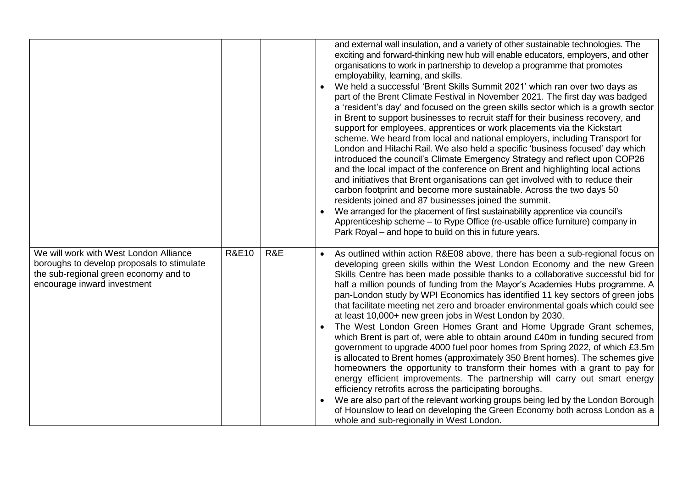|                                                                                                                                                              |                  |     | and external wall insulation, and a variety of other sustainable technologies. The<br>exciting and forward-thinking new hub will enable educators, employers, and other<br>organisations to work in partnership to develop a programme that promotes<br>employability, learning, and skills.<br>We held a successful 'Brent Skills Summit 2021' which ran over two days as<br>part of the Brent Climate Festival in November 2021. The first day was badged<br>a 'resident's day' and focused on the green skills sector which is a growth sector<br>in Brent to support businesses to recruit staff for their business recovery, and<br>support for employees, apprentices or work placements via the Kickstart<br>scheme. We heard from local and national employers, including Transport for<br>London and Hitachi Rail. We also held a specific 'business focused' day which<br>introduced the council's Climate Emergency Strategy and reflect upon COP26<br>and the local impact of the conference on Brent and highlighting local actions<br>and initiatives that Brent organisations can get involved with to reduce their<br>carbon footprint and become more sustainable. Across the two days 50<br>residents joined and 87 businesses joined the summit.<br>We arranged for the placement of first sustainability apprentice via council's<br>Apprenticeship scheme - to Rype Office (re-usable office furniture) company in<br>Park Royal – and hope to build on this in future years. |
|--------------------------------------------------------------------------------------------------------------------------------------------------------------|------------------|-----|----------------------------------------------------------------------------------------------------------------------------------------------------------------------------------------------------------------------------------------------------------------------------------------------------------------------------------------------------------------------------------------------------------------------------------------------------------------------------------------------------------------------------------------------------------------------------------------------------------------------------------------------------------------------------------------------------------------------------------------------------------------------------------------------------------------------------------------------------------------------------------------------------------------------------------------------------------------------------------------------------------------------------------------------------------------------------------------------------------------------------------------------------------------------------------------------------------------------------------------------------------------------------------------------------------------------------------------------------------------------------------------------------------------------------------------------------------------------------------------------------|
| We will work with West London Alliance<br>boroughs to develop proposals to stimulate<br>the sub-regional green economy and to<br>encourage inward investment | <b>R&amp;E10</b> | R&E | As outlined within action R&E08 above, there has been a sub-regional focus on<br>developing green skills within the West London Economy and the new Green<br>Skills Centre has been made possible thanks to a collaborative successful bid for<br>half a million pounds of funding from the Mayor's Academies Hubs programme. A<br>pan-London study by WPI Economics has identified 11 key sectors of green jobs<br>that facilitate meeting net zero and broader environmental goals which could see<br>at least 10,000+ new green jobs in West London by 2030.<br>The West London Green Homes Grant and Home Upgrade Grant schemes,<br>which Brent is part of, were able to obtain around £40m in funding secured from<br>government to upgrade 4000 fuel poor homes from Spring 2022, of which £3.5m<br>is allocated to Brent homes (approximately 350 Brent homes). The schemes give<br>homeowners the opportunity to transform their homes with a grant to pay for<br>energy efficient improvements. The partnership will carry out smart energy<br>efficiency retrofits across the participating boroughs.<br>We are also part of the relevant working groups being led by the London Borough<br>of Hounslow to lead on developing the Green Economy both across London as a<br>whole and sub-regionally in West London.                                                                                                                                                                      |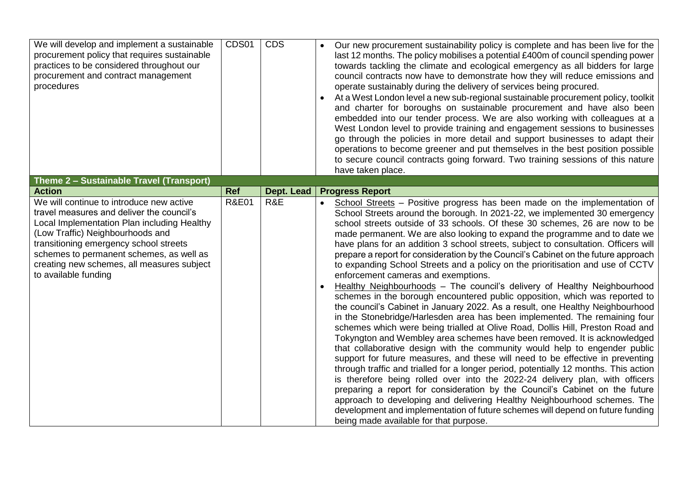| We will develop and implement a sustainable<br>procurement policy that requires sustainable<br>practices to be considered throughout our<br>procurement and contract management<br>procedures                                                                                                                                        | CDS01            | <b>CDS</b> | Our new procurement sustainability policy is complete and has been live for the<br>last 12 months. The policy mobilises a potential £400m of council spending power<br>towards tackling the climate and ecological emergency as all bidders for large<br>council contracts now have to demonstrate how they will reduce emissions and<br>operate sustainably during the delivery of services being procured.<br>At a West London level a new sub-regional sustainable procurement policy, toolkit<br>and charter for boroughs on sustainable procurement and have also been<br>embedded into our tender process. We are also working with colleagues at a<br>West London level to provide training and engagement sessions to businesses<br>go through the policies in more detail and support businesses to adapt their<br>operations to become greener and put themselves in the best position possible<br>to secure council contracts going forward. Two training sessions of this nature<br>have taken place.                                                                                                                                                                                                                                                                                                                                                                                                                                                                                                                                                                                                                                                                                                                                 |
|--------------------------------------------------------------------------------------------------------------------------------------------------------------------------------------------------------------------------------------------------------------------------------------------------------------------------------------|------------------|------------|---------------------------------------------------------------------------------------------------------------------------------------------------------------------------------------------------------------------------------------------------------------------------------------------------------------------------------------------------------------------------------------------------------------------------------------------------------------------------------------------------------------------------------------------------------------------------------------------------------------------------------------------------------------------------------------------------------------------------------------------------------------------------------------------------------------------------------------------------------------------------------------------------------------------------------------------------------------------------------------------------------------------------------------------------------------------------------------------------------------------------------------------------------------------------------------------------------------------------------------------------------------------------------------------------------------------------------------------------------------------------------------------------------------------------------------------------------------------------------------------------------------------------------------------------------------------------------------------------------------------------------------------------------------------------------------------------------------------------------------------------|
| Theme 2 - Sustainable Travel (Transport)                                                                                                                                                                                                                                                                                             |                  |            |                                                                                                                                                                                                                                                                                                                                                                                                                                                                                                                                                                                                                                                                                                                                                                                                                                                                                                                                                                                                                                                                                                                                                                                                                                                                                                                                                                                                                                                                                                                                                                                                                                                                                                                                                   |
| <b>Action</b>                                                                                                                                                                                                                                                                                                                        | <b>Ref</b>       | Dept. Lead | <b>Progress Report</b>                                                                                                                                                                                                                                                                                                                                                                                                                                                                                                                                                                                                                                                                                                                                                                                                                                                                                                                                                                                                                                                                                                                                                                                                                                                                                                                                                                                                                                                                                                                                                                                                                                                                                                                            |
| We will continue to introduce new active<br>travel measures and deliver the council's<br>Local Implementation Plan including Healthy<br>(Low Traffic) Neighbourhoods and<br>transitioning emergency school streets<br>schemes to permanent schemes, as well as<br>creating new schemes, all measures subject<br>to available funding | <b>R&amp;E01</b> | R&E        | School Streets - Positive progress has been made on the implementation of<br>School Streets around the borough. In 2021-22, we implemented 30 emergency<br>school streets outside of 33 schools. Of these 30 schemes, 26 are now to be<br>made permanent. We are also looking to expand the programme and to date we<br>have plans for an addition 3 school streets, subject to consultation. Officers will<br>prepare a report for consideration by the Council's Cabinet on the future approach<br>to expanding School Streets and a policy on the prioritisation and use of CCTV<br>enforcement cameras and exemptions.<br>Healthy Neighbourhoods - The council's delivery of Healthy Neighbourhood<br>schemes in the borough encountered public opposition, which was reported to<br>the council's Cabinet in January 2022. As a result, one Healthy Neighbourhood<br>in the Stonebridge/Harlesden area has been implemented. The remaining four<br>schemes which were being trialled at Olive Road, Dollis Hill, Preston Road and<br>Tokyngton and Wembley area schemes have been removed. It is acknowledged<br>that collaborative design with the community would help to engender public<br>support for future measures, and these will need to be effective in preventing<br>through traffic and trialled for a longer period, potentially 12 months. This action<br>is therefore being rolled over into the 2022-24 delivery plan, with officers<br>preparing a report for consideration by the Council's Cabinet on the future<br>approach to developing and delivering Healthy Neighbourhood schemes. The<br>development and implementation of future schemes will depend on future funding<br>being made available for that purpose. |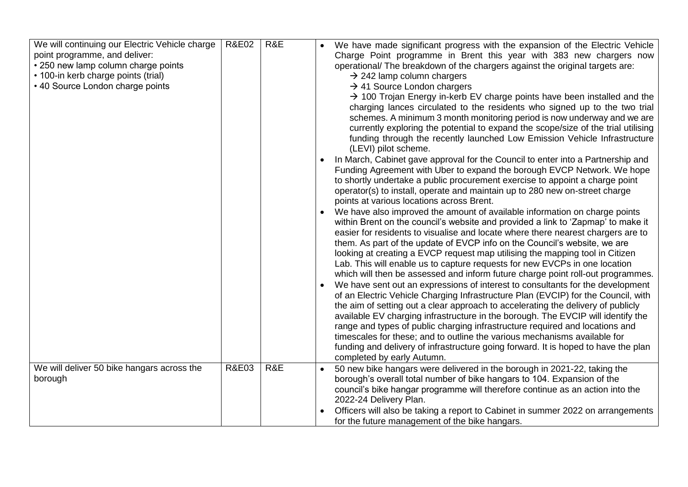| We will continuing our Electric Vehicle charge<br>point programme, and deliver:<br>• 250 new lamp column charge points<br>• 100-in kerb charge points (trial)<br>• 40 Source London charge points | <b>R&amp;E02</b> | R&E | We have made significant progress with the expansion of the Electric Vehicle<br>Charge Point programme in Brent this year with 383 new chargers now<br>operational/ The breakdown of the chargers against the original targets are:<br>$\rightarrow$ 242 lamp column chargers<br>$\rightarrow$ 41 Source London chargers<br>$\rightarrow$ 100 Trojan Energy in-kerb EV charge points have been installed and the<br>charging lances circulated to the residents who signed up to the two trial<br>schemes. A minimum 3 month monitoring period is now underway and we are<br>currently exploring the potential to expand the scope/size of the trial utilising<br>funding through the recently launched Low Emission Vehicle Infrastructure<br>(LEVI) pilot scheme.<br>In March, Cabinet gave approval for the Council to enter into a Partnership and<br>Funding Agreement with Uber to expand the borough EVCP Network. We hope<br>to shortly undertake a public procurement exercise to appoint a charge point<br>operator(s) to install, operate and maintain up to 280 new on-street charge<br>points at various locations across Brent.<br>We have also improved the amount of available information on charge points<br>within Brent on the council's website and provided a link to 'Zapmap' to make it<br>easier for residents to visualise and locate where there nearest chargers are to<br>them. As part of the update of EVCP info on the Council's website, we are<br>looking at creating a EVCP request map utilising the mapping tool in Citizen<br>Lab. This will enable us to capture requests for new EVCPs in one location<br>which will then be assessed and inform future charge point roll-out programmes.<br>We have sent out an expressions of interest to consultants for the development<br>of an Electric Vehicle Charging Infrastructure Plan (EVCIP) for the Council, with<br>the aim of setting out a clear approach to accelerating the delivery of publicly<br>available EV charging infrastructure in the borough. The EVCIP will identify the<br>range and types of public charging infrastructure required and locations and<br>timescales for these; and to outline the various mechanisms available for |
|---------------------------------------------------------------------------------------------------------------------------------------------------------------------------------------------------|------------------|-----|-----------------------------------------------------------------------------------------------------------------------------------------------------------------------------------------------------------------------------------------------------------------------------------------------------------------------------------------------------------------------------------------------------------------------------------------------------------------------------------------------------------------------------------------------------------------------------------------------------------------------------------------------------------------------------------------------------------------------------------------------------------------------------------------------------------------------------------------------------------------------------------------------------------------------------------------------------------------------------------------------------------------------------------------------------------------------------------------------------------------------------------------------------------------------------------------------------------------------------------------------------------------------------------------------------------------------------------------------------------------------------------------------------------------------------------------------------------------------------------------------------------------------------------------------------------------------------------------------------------------------------------------------------------------------------------------------------------------------------------------------------------------------------------------------------------------------------------------------------------------------------------------------------------------------------------------------------------------------------------------------------------------------------------------------------------------------------------------------------------------------------------------------------------------------------------------------------------------------------------------------|
|                                                                                                                                                                                                   |                  |     | funding and delivery of infrastructure going forward. It is hoped to have the plan<br>completed by early Autumn.                                                                                                                                                                                                                                                                                                                                                                                                                                                                                                                                                                                                                                                                                                                                                                                                                                                                                                                                                                                                                                                                                                                                                                                                                                                                                                                                                                                                                                                                                                                                                                                                                                                                                                                                                                                                                                                                                                                                                                                                                                                                                                                              |
| We will deliver 50 bike hangars across the<br>borough                                                                                                                                             | <b>R&amp;E03</b> | R&E | 50 new bike hangars were delivered in the borough in 2021-22, taking the<br>borough's overall total number of bike hangars to 104. Expansion of the<br>council's bike hangar programme will therefore continue as an action into the<br>2022-24 Delivery Plan.                                                                                                                                                                                                                                                                                                                                                                                                                                                                                                                                                                                                                                                                                                                                                                                                                                                                                                                                                                                                                                                                                                                                                                                                                                                                                                                                                                                                                                                                                                                                                                                                                                                                                                                                                                                                                                                                                                                                                                                |
|                                                                                                                                                                                                   |                  |     | Officers will also be taking a report to Cabinet in summer 2022 on arrangements<br>for the future management of the bike hangars.                                                                                                                                                                                                                                                                                                                                                                                                                                                                                                                                                                                                                                                                                                                                                                                                                                                                                                                                                                                                                                                                                                                                                                                                                                                                                                                                                                                                                                                                                                                                                                                                                                                                                                                                                                                                                                                                                                                                                                                                                                                                                                             |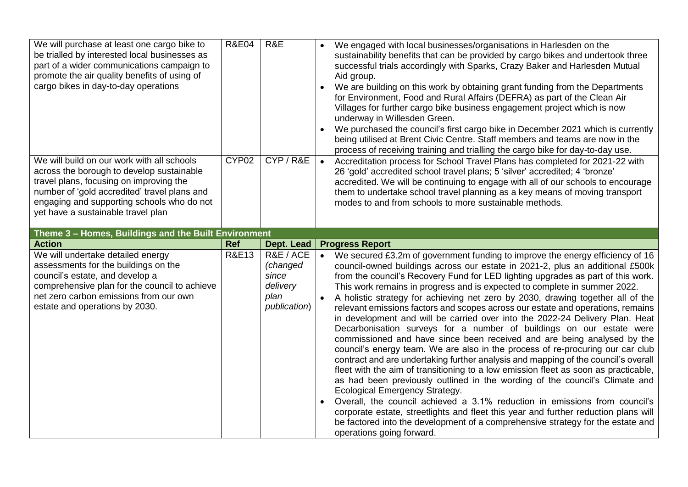| We will purchase at least one cargo bike to<br>be trialled by interested local businesses as<br>part of a wider communications campaign to<br>promote the air quality benefits of using of<br>cargo bikes in day-to-day operations                                     | <b>R&amp;E04</b>  | R&E                                                                | We engaged with local businesses/organisations in Harlesden on the<br>sustainability benefits that can be provided by cargo bikes and undertook three<br>successful trials accordingly with Sparks, Crazy Baker and Harlesden Mutual<br>Aid group.<br>We are building on this work by obtaining grant funding from the Departments<br>$\bullet$<br>for Environment, Food and Rural Affairs (DEFRA) as part of the Clean Air<br>Villages for further cargo bike business engagement project which is now<br>underway in Willesden Green.<br>We purchased the council's first cargo bike in December 2021 which is currently<br>$\bullet$<br>being utilised at Brent Civic Centre. Staff members and teams are now in the<br>process of receiving training and trialling the cargo bike for day-to-day use.                                                                                                                                                                                                                                                                                                                                                                                                                                                                                            |
|------------------------------------------------------------------------------------------------------------------------------------------------------------------------------------------------------------------------------------------------------------------------|-------------------|--------------------------------------------------------------------|------------------------------------------------------------------------------------------------------------------------------------------------------------------------------------------------------------------------------------------------------------------------------------------------------------------------------------------------------------------------------------------------------------------------------------------------------------------------------------------------------------------------------------------------------------------------------------------------------------------------------------------------------------------------------------------------------------------------------------------------------------------------------------------------------------------------------------------------------------------------------------------------------------------------------------------------------------------------------------------------------------------------------------------------------------------------------------------------------------------------------------------------------------------------------------------------------------------------------------------------------------------------------------------------------|
| We will build on our work with all schools<br>across the borough to develop sustainable<br>travel plans, focusing on improving the<br>number of 'gold accredited' travel plans and<br>engaging and supporting schools who do not<br>yet have a sustainable travel plan | CYP <sub>02</sub> | CYP/R&E                                                            | Accreditation process for School Travel Plans has completed for 2021-22 with<br>26 'gold' accredited school travel plans; 5 'silver' accredited; 4 'bronze'<br>accredited. We will be continuing to engage with all of our schools to encourage<br>them to undertake school travel planning as a key means of moving transport<br>modes to and from schools to more sustainable methods.                                                                                                                                                                                                                                                                                                                                                                                                                                                                                                                                                                                                                                                                                                                                                                                                                                                                                                             |
| Theme 3 - Homes, Buildings and the Built Environment<br><b>Action</b>                                                                                                                                                                                                  | <b>Ref</b>        | Dept. Lead                                                         | <b>Progress Report</b>                                                                                                                                                                                                                                                                                                                                                                                                                                                                                                                                                                                                                                                                                                                                                                                                                                                                                                                                                                                                                                                                                                                                                                                                                                                                               |
| We will undertake detailed energy<br>assessments for the buildings on the<br>council's estate, and develop a<br>comprehensive plan for the council to achieve<br>net zero carbon emissions from our own<br>estate and operations by 2030.                              | <b>R&amp;E13</b>  | R&E / ACE<br>(changed<br>since<br>delivery<br>plan<br>publication) | We secured £3.2m of government funding to improve the energy efficiency of 16<br>council-owned buildings across our estate in 2021-2, plus an additional £500k<br>from the council's Recovery Fund for LED lighting upgrades as part of this work.<br>This work remains in progress and is expected to complete in summer 2022.<br>A holistic strategy for achieving net zero by 2030, drawing together all of the<br>relevant emissions factors and scopes across our estate and operations, remains<br>in development and will be carried over into the 2022-24 Delivery Plan. Heat<br>Decarbonisation surveys for a number of buildings on our estate were<br>commissioned and have since been received and are being analysed by the<br>council's energy team. We are also in the process of re-procuring our car club<br>contract and are undertaking further analysis and mapping of the council's overall<br>fleet with the aim of transitioning to a low emission fleet as soon as practicable,<br>as had been previously outlined in the wording of the council's Climate and<br><b>Ecological Emergency Strategy.</b><br>Overall, the council achieved a 3.1% reduction in emissions from council's<br>corporate estate, streetlights and fleet this year and further reduction plans will |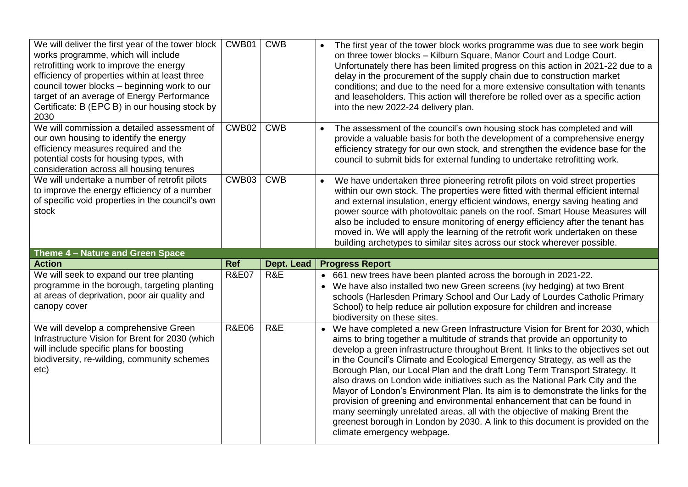| We will deliver the first year of the tower block<br>works programme, which will include<br>retrofitting work to improve the energy<br>efficiency of properties within at least three<br>council tower blocks - beginning work to our<br>target of an average of Energy Performance<br>Certificate: B (EPC B) in our housing stock by<br>2030 | CWB01            | <b>CWB</b> | The first year of the tower block works programme was due to see work begin<br>$\bullet$<br>on three tower blocks - Kilburn Square, Manor Court and Lodge Court.<br>Unfortunately there has been limited progress on this action in 2021-22 due to a<br>delay in the procurement of the supply chain due to construction market<br>conditions; and due to the need for a more extensive consultation with tenants<br>and leaseholders. This action will therefore be rolled over as a specific action<br>into the new 2022-24 delivery plan.                                                   |
|-----------------------------------------------------------------------------------------------------------------------------------------------------------------------------------------------------------------------------------------------------------------------------------------------------------------------------------------------|------------------|------------|------------------------------------------------------------------------------------------------------------------------------------------------------------------------------------------------------------------------------------------------------------------------------------------------------------------------------------------------------------------------------------------------------------------------------------------------------------------------------------------------------------------------------------------------------------------------------------------------|
| We will commission a detailed assessment of<br>our own housing to identify the energy<br>efficiency measures required and the<br>potential costs for housing types, with<br>consideration across all housing tenures                                                                                                                          | CWB02            | <b>CWB</b> | The assessment of the council's own housing stock has completed and will<br>$\bullet$<br>provide a valuable basis for both the development of a comprehensive energy<br>efficiency strategy for our own stock, and strengthen the evidence base for the<br>council to submit bids for external funding to undertake retrofitting work.                                                                                                                                                                                                                                                         |
| We will undertake a number of retrofit pilots<br>to improve the energy efficiency of a number<br>of specific void properties in the council's own<br>stock                                                                                                                                                                                    | CWB03            | <b>CWB</b> | We have undertaken three pioneering retrofit pilots on void street properties<br>$\bullet$<br>within our own stock. The properties were fitted with thermal efficient internal<br>and external insulation, energy efficient windows, energy saving heating and<br>power source with photovoltaic panels on the roof. Smart House Measures will<br>also be included to ensure monitoring of energy efficiency after the tenant has<br>moved in. We will apply the learning of the retrofit work undertaken on these<br>building archetypes to similar sites across our stock wherever possible. |
|                                                                                                                                                                                                                                                                                                                                               |                  |            |                                                                                                                                                                                                                                                                                                                                                                                                                                                                                                                                                                                                |
| Theme 4 - Nature and Green Space                                                                                                                                                                                                                                                                                                              |                  |            |                                                                                                                                                                                                                                                                                                                                                                                                                                                                                                                                                                                                |
| <b>Action</b>                                                                                                                                                                                                                                                                                                                                 | <b>Ref</b>       | Dept. Lead | <b>Progress Report</b>                                                                                                                                                                                                                                                                                                                                                                                                                                                                                                                                                                         |
| We will seek to expand our tree planting<br>programme in the borough, targeting planting<br>at areas of deprivation, poor air quality and<br>canopy cover                                                                                                                                                                                     | <b>R&amp;E07</b> | R&E        | • 661 new trees have been planted across the borough in 2021-22.<br>• We have also installed two new Green screens (ivy hedging) at two Brent<br>schools (Harlesden Primary School and Our Lady of Lourdes Catholic Primary<br>School) to help reduce air pollution exposure for children and increase<br>biodiversity on these sites.                                                                                                                                                                                                                                                         |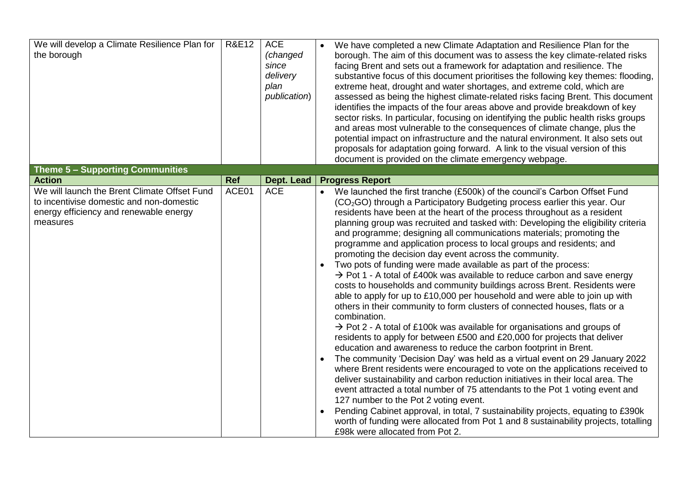| We will develop a Climate Resilience Plan for<br>the borough                                                                                                    | <b>R&amp;E12</b>    | <b>ACE</b><br>(changed<br>since<br>delivery<br>plan<br>publication) | We have completed a new Climate Adaptation and Resilience Plan for the<br>borough. The aim of this document was to assess the key climate-related risks<br>facing Brent and sets out a framework for adaptation and resilience. The<br>substantive focus of this document prioritises the following key themes: flooding,<br>extreme heat, drought and water shortages, and extreme cold, which are<br>assessed as being the highest climate-related risks facing Brent. This document<br>identifies the impacts of the four areas above and provide breakdown of key<br>sector risks. In particular, focusing on identifying the public health risks groups<br>and areas most vulnerable to the consequences of climate change, plus the<br>potential impact on infrastructure and the natural environment. It also sets out<br>proposals for adaptation going forward. A link to the visual version of this<br>document is provided on the climate emergency webpage.                                                                                                                                                                                                                                                                                                                                                                                                                                                                                                                                                                                                                                                                                                                                                                                                                                                             |
|-----------------------------------------------------------------------------------------------------------------------------------------------------------------|---------------------|---------------------------------------------------------------------|-------------------------------------------------------------------------------------------------------------------------------------------------------------------------------------------------------------------------------------------------------------------------------------------------------------------------------------------------------------------------------------------------------------------------------------------------------------------------------------------------------------------------------------------------------------------------------------------------------------------------------------------------------------------------------------------------------------------------------------------------------------------------------------------------------------------------------------------------------------------------------------------------------------------------------------------------------------------------------------------------------------------------------------------------------------------------------------------------------------------------------------------------------------------------------------------------------------------------------------------------------------------------------------------------------------------------------------------------------------------------------------------------------------------------------------------------------------------------------------------------------------------------------------------------------------------------------------------------------------------------------------------------------------------------------------------------------------------------------------------------------------------------------------------------------------------------------------|
| <b>Theme 5 - Supporting Communities</b>                                                                                                                         |                     |                                                                     |                                                                                                                                                                                                                                                                                                                                                                                                                                                                                                                                                                                                                                                                                                                                                                                                                                                                                                                                                                                                                                                                                                                                                                                                                                                                                                                                                                                                                                                                                                                                                                                                                                                                                                                                                                                                                                     |
| <b>Action</b><br>We will launch the Brent Climate Offset Fund<br>to incentivise domestic and non-domestic<br>energy efficiency and renewable energy<br>measures | <b>Ref</b><br>ACE01 | Dept. Lead<br><b>ACE</b>                                            | <b>Progress Report</b><br>• We launched the first tranche (£500k) of the council's Carbon Offset Fund<br>(CO <sub>2</sub> GO) through a Participatory Budgeting process earlier this year. Our<br>residents have been at the heart of the process throughout as a resident<br>planning group was recruited and tasked with: Developing the eligibility criteria<br>and programme; designing all communications materials; promoting the<br>programme and application process to local groups and residents; and<br>promoting the decision day event across the community.<br>Two pots of funding were made available as part of the process:<br>$\rightarrow$ Pot 1 - A total of £400k was available to reduce carbon and save energy<br>costs to households and community buildings across Brent. Residents were<br>able to apply for up to £10,000 per household and were able to join up with<br>others in their community to form clusters of connected houses, flats or a<br>combination.<br>$\rightarrow$ Pot 2 - A total of £100k was available for organisations and groups of<br>residents to apply for between £500 and £20,000 for projects that deliver<br>education and awareness to reduce the carbon footprint in Brent.<br>The community 'Decision Day' was held as a virtual event on 29 January 2022<br>where Brent residents were encouraged to vote on the applications received to<br>deliver sustainability and carbon reduction initiatives in their local area. The<br>event attracted a total number of 75 attendants to the Pot 1 voting event and<br>127 number to the Pot 2 voting event.<br>Pending Cabinet approval, in total, 7 sustainability projects, equating to £390k<br>worth of funding were allocated from Pot 1 and 8 sustainability projects, totalling<br>£98k were allocated from Pot 2. |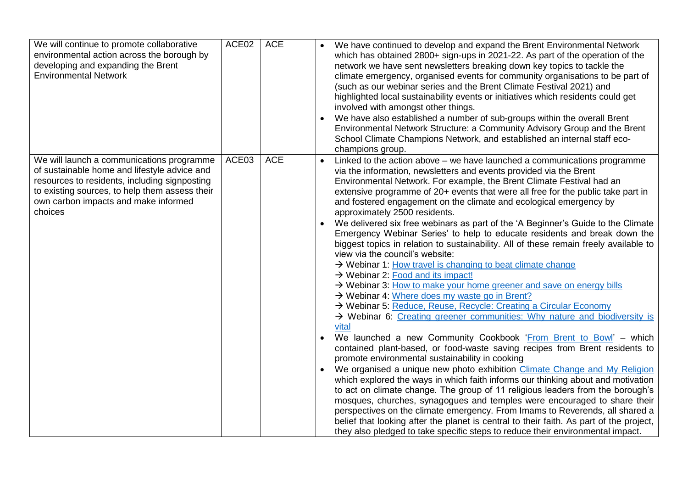| We will continue to promote collaborative<br>environmental action across the borough by<br>developing and expanding the Brent<br><b>Environmental Network</b>                                                                                   | ACE02 | <b>ACE</b> | $\bullet$ | We have continued to develop and expand the Brent Environmental Network<br>which has obtained 2800+ sign-ups in 2021-22. As part of the operation of the<br>network we have sent newsletters breaking down key topics to tackle the<br>climate emergency, organised events for community organisations to be part of<br>(such as our webinar series and the Brent Climate Festival 2021) and<br>highlighted local sustainability events or initiatives which residents could get<br>involved with amongst other things.<br>We have also established a number of sub-groups within the overall Brent<br>Environmental Network Structure: a Community Advisory Group and the Brent<br>School Climate Champions Network, and established an internal staff eco-<br>champions group.                                                                                                                                                                                                                                                                                                                                                                                                                                                                                                                                                                                                                                                                                                                                                                                                                                                                                                                                                                                                                                                                                                                                    |
|-------------------------------------------------------------------------------------------------------------------------------------------------------------------------------------------------------------------------------------------------|-------|------------|-----------|---------------------------------------------------------------------------------------------------------------------------------------------------------------------------------------------------------------------------------------------------------------------------------------------------------------------------------------------------------------------------------------------------------------------------------------------------------------------------------------------------------------------------------------------------------------------------------------------------------------------------------------------------------------------------------------------------------------------------------------------------------------------------------------------------------------------------------------------------------------------------------------------------------------------------------------------------------------------------------------------------------------------------------------------------------------------------------------------------------------------------------------------------------------------------------------------------------------------------------------------------------------------------------------------------------------------------------------------------------------------------------------------------------------------------------------------------------------------------------------------------------------------------------------------------------------------------------------------------------------------------------------------------------------------------------------------------------------------------------------------------------------------------------------------------------------------------------------------------------------------------------------------------------------------|
| We will launch a communications programme<br>of sustainable home and lifestyle advice and<br>resources to residents, including signposting<br>to existing sources, to help them assess their<br>own carbon impacts and make informed<br>choices | ACE03 | <b>ACE</b> |           | Linked to the action above – we have launched a communications programme<br>via the information, newsletters and events provided via the Brent<br>Environmental Network. For example, the Brent Climate Festival had an<br>extensive programme of 20+ events that were all free for the public take part in<br>and fostered engagement on the climate and ecological emergency by<br>approximately 2500 residents.<br>We delivered six free webinars as part of the 'A Beginner's Guide to the Climate<br>Emergency Webinar Series' to help to educate residents and break down the<br>biggest topics in relation to sustainability. All of these remain freely available to<br>view via the council's website:<br>→ Webinar 1: How travel is changing to beat climate change<br>$\rightarrow$ Webinar 2: Food and its impact!<br>> Webinar 3: How to make your home greener and save on energy bills<br>→ Webinar 4: Where does my waste go in Brent?<br>> Webinar 5: Reduce, Reuse, Recycle: Creating a Circular Economy<br>> Webinar 6: Creating greener communities: Why nature and biodiversity is<br>vital<br>We launched a new Community Cookbook 'From Brent to Bowl' - which<br>contained plant-based, or food-waste saving recipes from Brent residents to<br>promote environmental sustainability in cooking<br>We organised a unique new photo exhibition Climate Change and My Religion<br>which explored the ways in which faith informs our thinking about and motivation<br>to act on climate change. The group of 11 religious leaders from the borough's<br>mosques, churches, synagogues and temples were encouraged to share their<br>perspectives on the climate emergency. From Imams to Reverends, all shared a<br>belief that looking after the planet is central to their faith. As part of the project,<br>they also pledged to take specific steps to reduce their environmental impact. |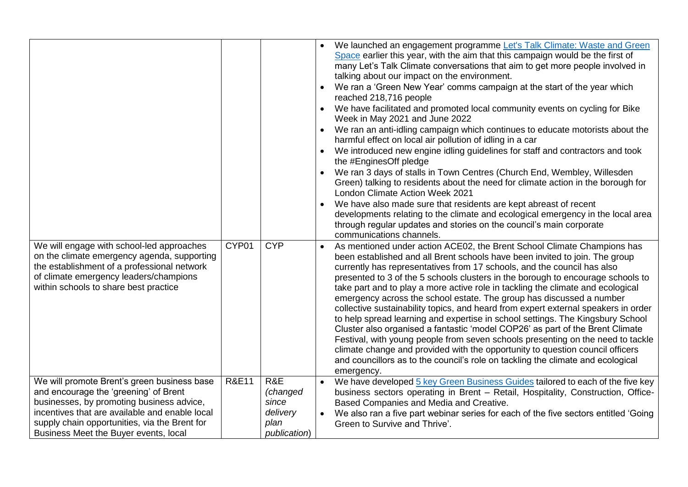| We will engage with school-led approaches<br>on the climate emergency agenda, supporting<br>the establishment of a professional network<br>of climate emergency leaders/champions<br>within schools to share best practice                                                    | CYP01            | <b>CYP</b>                                                   | $\bullet$ | • We launched an engagement programme Let's Talk Climate: Waste and Green<br>Space earlier this year, with the aim that this campaign would be the first of<br>many Let's Talk Climate conversations that aim to get more people involved in<br>talking about our impact on the environment.<br>We ran a 'Green New Year' comms campaign at the start of the year which<br>reached 218,716 people<br>We have facilitated and promoted local community events on cycling for Bike<br>Week in May 2021 and June 2022<br>We ran an anti-idling campaign which continues to educate motorists about the<br>harmful effect on local air pollution of idling in a car<br>We introduced new engine idling guidelines for staff and contractors and took<br>the #EnginesOff pledge<br>We ran 3 days of stalls in Town Centres (Church End, Wembley, Willesden<br>Green) talking to residents about the need for climate action in the borough for<br>London Climate Action Week 2021<br>We have also made sure that residents are kept abreast of recent<br>developments relating to the climate and ecological emergency in the local area<br>through regular updates and stories on the council's main corporate<br>communications channels.<br>As mentioned under action ACE02, the Brent School Climate Champions has<br>been established and all Brent schools have been invited to join. The group<br>currently has representatives from 17 schools, and the council has also<br>presented to 3 of the 5 schools clusters in the borough to encourage schools to<br>take part and to play a more active role in tackling the climate and ecological<br>emergency across the school estate. The group has discussed a number<br>collective sustainability topics, and heard from expert external speakers in order<br>to help spread learning and expertise in school settings. The Kingsbury School |
|-------------------------------------------------------------------------------------------------------------------------------------------------------------------------------------------------------------------------------------------------------------------------------|------------------|--------------------------------------------------------------|-----------|---------------------------------------------------------------------------------------------------------------------------------------------------------------------------------------------------------------------------------------------------------------------------------------------------------------------------------------------------------------------------------------------------------------------------------------------------------------------------------------------------------------------------------------------------------------------------------------------------------------------------------------------------------------------------------------------------------------------------------------------------------------------------------------------------------------------------------------------------------------------------------------------------------------------------------------------------------------------------------------------------------------------------------------------------------------------------------------------------------------------------------------------------------------------------------------------------------------------------------------------------------------------------------------------------------------------------------------------------------------------------------------------------------------------------------------------------------------------------------------------------------------------------------------------------------------------------------------------------------------------------------------------------------------------------------------------------------------------------------------------------------------------------------------------------------------------------------------------------------------------------------------------------|
|                                                                                                                                                                                                                                                                               |                  |                                                              |           | Cluster also organised a fantastic 'model COP26' as part of the Brent Climate<br>Festival, with young people from seven schools presenting on the need to tackle<br>climate change and provided with the opportunity to question council officers<br>and councillors as to the council's role on tackling the climate and ecological<br>emergency.                                                                                                                                                                                                                                                                                                                                                                                                                                                                                                                                                                                                                                                                                                                                                                                                                                                                                                                                                                                                                                                                                                                                                                                                                                                                                                                                                                                                                                                                                                                                                |
| We will promote Brent's green business base<br>and encourage the 'greening' of Brent<br>businesses, by promoting business advice,<br>incentives that are available and enable local<br>supply chain opportunities, via the Brent for<br>Business Meet the Buyer events, local | <b>R&amp;E11</b> | R&E<br>(changed<br>since<br>delivery<br>plan<br>publication) | $\bullet$ | We have developed 5 key Green Business Guides tailored to each of the five key<br>business sectors operating in Brent - Retail, Hospitality, Construction, Office-<br>Based Companies and Media and Creative.<br>We also ran a five part webinar series for each of the five sectors entitled 'Going<br>Green to Survive and Thrive'.                                                                                                                                                                                                                                                                                                                                                                                                                                                                                                                                                                                                                                                                                                                                                                                                                                                                                                                                                                                                                                                                                                                                                                                                                                                                                                                                                                                                                                                                                                                                                             |